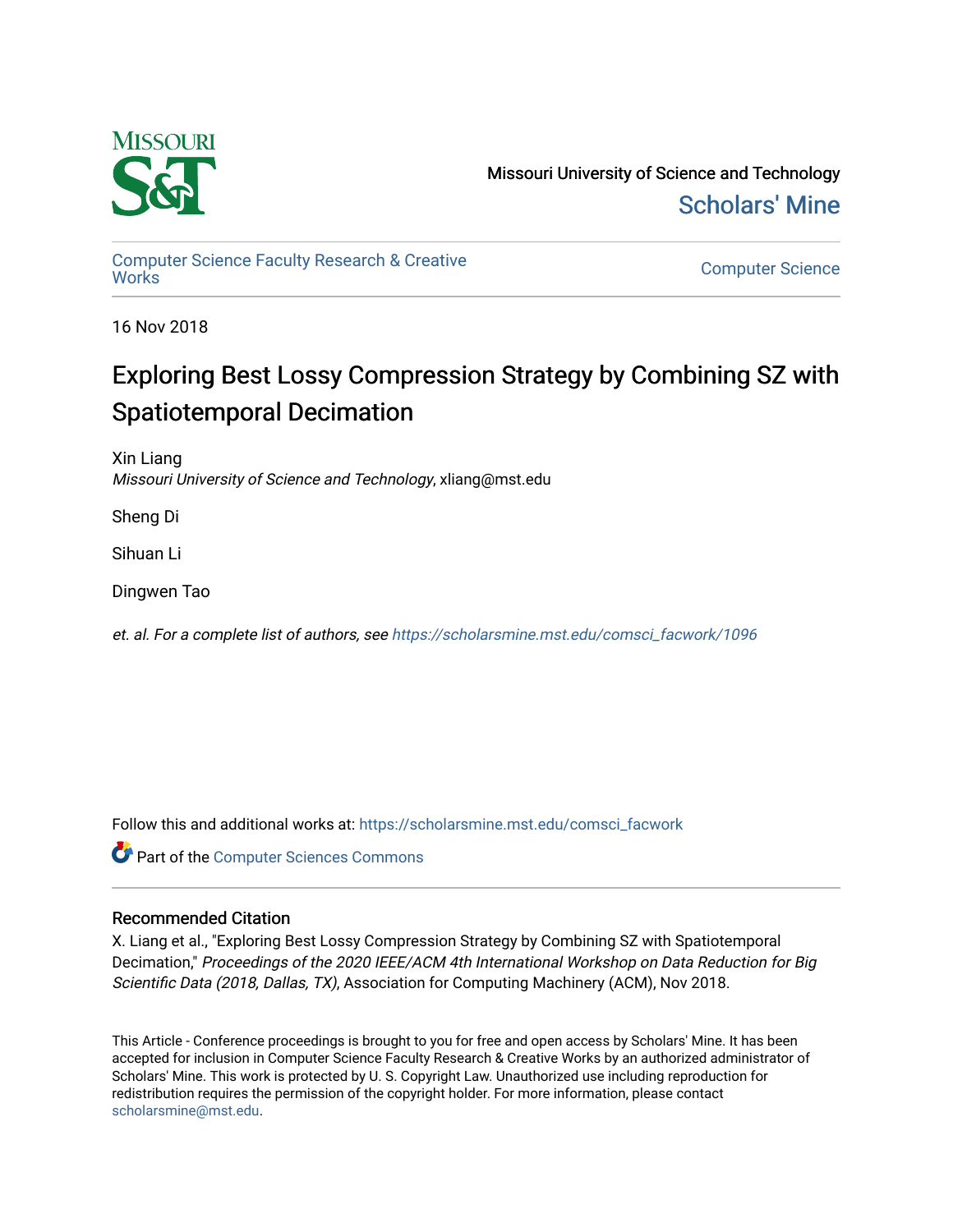

Missouri University of Science and Technology [Scholars' Mine](https://scholarsmine.mst.edu/) 

[Computer Science Faculty Research & Creative](https://scholarsmine.mst.edu/comsci_facwork) 

**Computer Science** 

16 Nov 2018

## Exploring Best Lossy Compression Strategy by Combining SZ with Spatiotemporal Decimation

Xin Liang Missouri University of Science and Technology, xliang@mst.edu

Sheng Di

Sihuan Li

Dingwen Tao

et. al. For a complete list of authors, see [https://scholarsmine.mst.edu/comsci\\_facwork/1096](https://scholarsmine.mst.edu/comsci_facwork/1096) 

Follow this and additional works at: [https://scholarsmine.mst.edu/comsci\\_facwork](https://scholarsmine.mst.edu/comsci_facwork?utm_source=scholarsmine.mst.edu%2Fcomsci_facwork%2F1096&utm_medium=PDF&utm_campaign=PDFCoverPages) 

**Part of the [Computer Sciences Commons](http://network.bepress.com/hgg/discipline/142?utm_source=scholarsmine.mst.edu%2Fcomsci_facwork%2F1096&utm_medium=PDF&utm_campaign=PDFCoverPages)** 

## Recommended Citation

X. Liang et al., "Exploring Best Lossy Compression Strategy by Combining SZ with Spatiotemporal Decimation," Proceedings of the 2020 IEEE/ACM 4th International Workshop on Data Reduction for Big Scientific Data (2018, Dallas, TX), Association for Computing Machinery (ACM), Nov 2018.

This Article - Conference proceedings is brought to you for free and open access by Scholars' Mine. It has been accepted for inclusion in Computer Science Faculty Research & Creative Works by an authorized administrator of Scholars' Mine. This work is protected by U. S. Copyright Law. Unauthorized use including reproduction for redistribution requires the permission of the copyright holder. For more information, please contact [scholarsmine@mst.edu.](mailto:scholarsmine@mst.edu)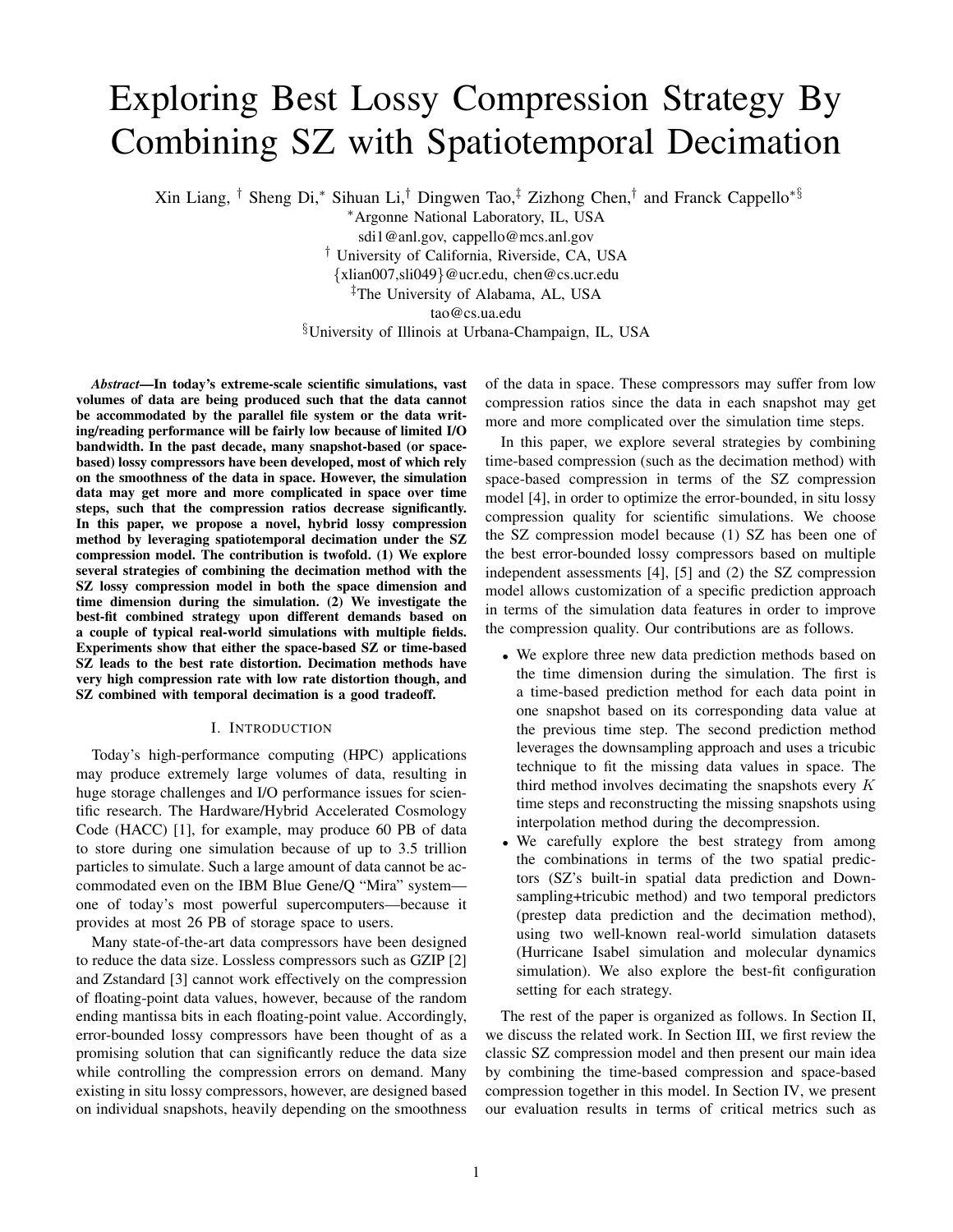# Exploring Best Lossy Compression Strategy By Combining SZ with Spatiotemporal Decimation

Xin Liang, † Sheng Di,<sup>∗</sup> Sihuan Li,† Dingwen Tao,‡ Zizhong Chen,† and Franck Cappello∗§

<sup>∗</sup>Argonne National Laboratory, IL, USA

sdi1@anl.gov, cappello@mcs.anl.gov

† University of California, Riverside, CA, USA

{xlian007,sli049}@ucr.edu, chen@cs.ucr.edu ‡The University of Alabama, AL, USA

tao@cs.ua.edu

§University of Illinois at Urbana-Champaign, IL, USA

*Abstract*—In today's extreme-scale scientific simulations, vast volumes of data are being produced such that the data cannot be accommodated by the parallel file system or the data writing/reading performance will be fairly low because of limited I/O bandwidth. In the past decade, many snapshot-based (or spacebased) lossy compressors have been developed, most of which rely on the smoothness of the data in space. However, the simulation data may get more and more complicated in space over time steps, such that the compression ratios decrease significantly. In this paper, we propose a novel, hybrid lossy compression method by leveraging spatiotemporal decimation under the SZ compression model. The contribution is twofold. (1) We explore several strategies of combining the decimation method with the SZ lossy compression model in both the space dimension and time dimension during the simulation. (2) We investigate the best-fit combined strategy upon different demands based on a couple of typical real-world simulations with multiple fields. Experiments show that either the space-based SZ or time-based SZ leads to the best rate distortion. Decimation methods have very high compression rate with low rate distortion though, and SZ combined with temporal decimation is a good tradeoff.

## I. INTRODUCTION

Today's high-performance computing (HPC) applications may produce extremely large volumes of data, resulting in huge storage challenges and I/O performance issues for scientific research. The Hardware/Hybrid Accelerated Cosmology Code (HACC) [1], for example, may produce 60 PB of data to store during one simulation because of up to 3.5 trillion particles to simulate. Such a large amount of data cannot be accommodated even on the IBM Blue Gene/Q "Mira" system one of today's most powerful supercomputers—because it provides at most 26 PB of storage space to users.

Many state-of-the-art data compressors have been designed to reduce the data size. Lossless compressors such as GZIP [2] and Zstandard [3] cannot work effectively on the compression of floating-point data values, however, because of the random ending mantissa bits in each floating-point value. Accordingly, error-bounded lossy compressors have been thought of as a promising solution that can significantly reduce the data size while controlling the compression errors on demand. Many existing in situ lossy compressors, however, are designed based on individual snapshots, heavily depending on the smoothness of the data in space. These compressors may suffer from low compression ratios since the data in each snapshot may get more and more complicated over the simulation time steps.

In this paper, we explore several strategies by combining time-based compression (such as the decimation method) with space-based compression in terms of the SZ compression model [4], in order to optimize the error-bounded, in situ lossy compression quality for scientific simulations. We choose the SZ compression model because (1) SZ has been one of the best error-bounded lossy compressors based on multiple independent assessments [4], [5] and (2) the SZ compression model allows customization of a specific prediction approach in terms of the simulation data features in order to improve the compression quality. Our contributions are as follows.

- We explore three new data prediction methods based on the time dimension during the simulation. The first is a time-based prediction method for each data point in one snapshot based on its corresponding data value at the previous time step. The second prediction method leverages the downsampling approach and uses a tricubic technique to fit the missing data values in space. The third method involves decimating the snapshots every  $K$ time steps and reconstructing the missing snapshots using interpolation method during the decompression.
- We carefully explore the best strategy from among the combinations in terms of the two spatial predictors (SZ's built-in spatial data prediction and Downsampling+tricubic method) and two temporal predictors (prestep data prediction and the decimation method), using two well-known real-world simulation datasets (Hurricane Isabel simulation and molecular dynamics simulation). We also explore the best-fit configuration setting for each strategy.

The rest of the paper is organized as follows. In Section II, we discuss the related work. In Section III, we first review the classic SZ compression model and then present our main idea by combining the time-based compression and space-based compression together in this model. In Section IV, we present our evaluation results in terms of critical metrics such as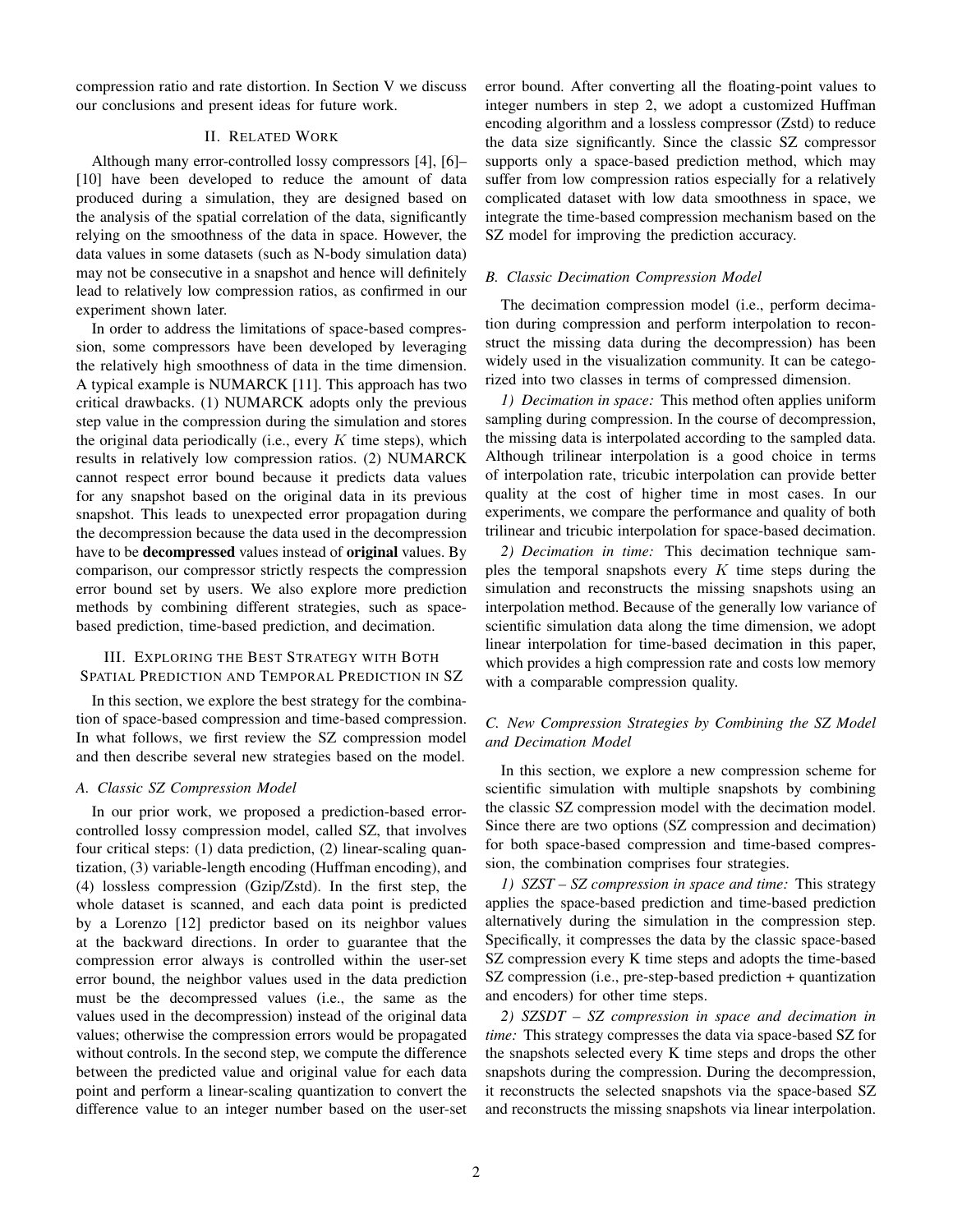compression ratio and rate distortion. In Section V we discuss our conclusions and present ideas for future work.

## II. RELATED WORK

Although many error-controlled lossy compressors [4], [6]– [10] have been developed to reduce the amount of data produced during a simulation, they are designed based on the analysis of the spatial correlation of the data, significantly relying on the smoothness of the data in space. However, the data values in some datasets (such as N-body simulation data) may not be consecutive in a snapshot and hence will definitely lead to relatively low compression ratios, as confirmed in our experiment shown later.

In order to address the limitations of space-based compression, some compressors have been developed by leveraging the relatively high smoothness of data in the time dimension. A typical example is NUMARCK [11]. This approach has two critical drawbacks. (1) NUMARCK adopts only the previous step value in the compression during the simulation and stores the original data periodically (i.e., every  $K$  time steps), which results in relatively low compression ratios. (2) NUMARCK cannot respect error bound because it predicts data values for any snapshot based on the original data in its previous snapshot. This leads to unexpected error propagation during the decompression because the data used in the decompression have to be **decompressed** values instead of **original** values. By comparison, our compressor strictly respects the compression error bound set by users. We also explore more prediction methods by combining different strategies, such as spacebased prediction, time-based prediction, and decimation.

## III. EXPLORING THE BEST STRATEGY WITH BOTH SPATIAL PREDICTION AND TEMPORAL PREDICTION IN SZ

In this section, we explore the best strategy for the combination of space-based compression and time-based compression. In what follows, we first review the SZ compression model and then describe several new strategies based on the model.

#### *A. Classic SZ Compression Model*

In our prior work, we proposed a prediction-based errorcontrolled lossy compression model, called SZ, that involves four critical steps: (1) data prediction, (2) linear-scaling quantization, (3) variable-length encoding (Huffman encoding), and (4) lossless compression (Gzip/Zstd). In the first step, the whole dataset is scanned, and each data point is predicted by a Lorenzo [12] predictor based on its neighbor values at the backward directions. In order to guarantee that the compression error always is controlled within the user-set error bound, the neighbor values used in the data prediction must be the decompressed values (i.e., the same as the values used in the decompression) instead of the original data values; otherwise the compression errors would be propagated without controls. In the second step, we compute the difference between the predicted value and original value for each data point and perform a linear-scaling quantization to convert the difference value to an integer number based on the user-set error bound. After converting all the floating-point values to integer numbers in step 2, we adopt a customized Huffman encoding algorithm and a lossless compressor (Zstd) to reduce the data size significantly. Since the classic SZ compressor supports only a space-based prediction method, which may suffer from low compression ratios especially for a relatively complicated dataset with low data smoothness in space, we integrate the time-based compression mechanism based on the SZ model for improving the prediction accuracy.

#### *B. Classic Decimation Compression Model*

The decimation compression model (i.e., perform decimation during compression and perform interpolation to reconstruct the missing data during the decompression) has been widely used in the visualization community. It can be categorized into two classes in terms of compressed dimension.

*1) Decimation in space:* This method often applies uniform sampling during compression. In the course of decompression, the missing data is interpolated according to the sampled data. Although trilinear interpolation is a good choice in terms of interpolation rate, tricubic interpolation can provide better quality at the cost of higher time in most cases. In our experiments, we compare the performance and quality of both trilinear and tricubic interpolation for space-based decimation.

*2) Decimation in time:* This decimation technique samples the temporal snapshots every  $K$  time steps during the simulation and reconstructs the missing snapshots using an interpolation method. Because of the generally low variance of scientific simulation data along the time dimension, we adopt linear interpolation for time-based decimation in this paper, which provides a high compression rate and costs low memory with a comparable compression quality.

## *C. New Compression Strategies by Combining the SZ Model and Decimation Model*

In this section, we explore a new compression scheme for scientific simulation with multiple snapshots by combining the classic SZ compression model with the decimation model. Since there are two options (SZ compression and decimation) for both space-based compression and time-based compression, the combination comprises four strategies.

*1) SZST – SZ compression in space and time:* This strategy applies the space-based prediction and time-based prediction alternatively during the simulation in the compression step. Specifically, it compresses the data by the classic space-based SZ compression every K time steps and adopts the time-based SZ compression (i.e., pre-step-based prediction + quantization and encoders) for other time steps.

*2) SZSDT – SZ compression in space and decimation in time:* This strategy compresses the data via space-based SZ for the snapshots selected every K time steps and drops the other snapshots during the compression. During the decompression, it reconstructs the selected snapshots via the space-based SZ and reconstructs the missing snapshots via linear interpolation.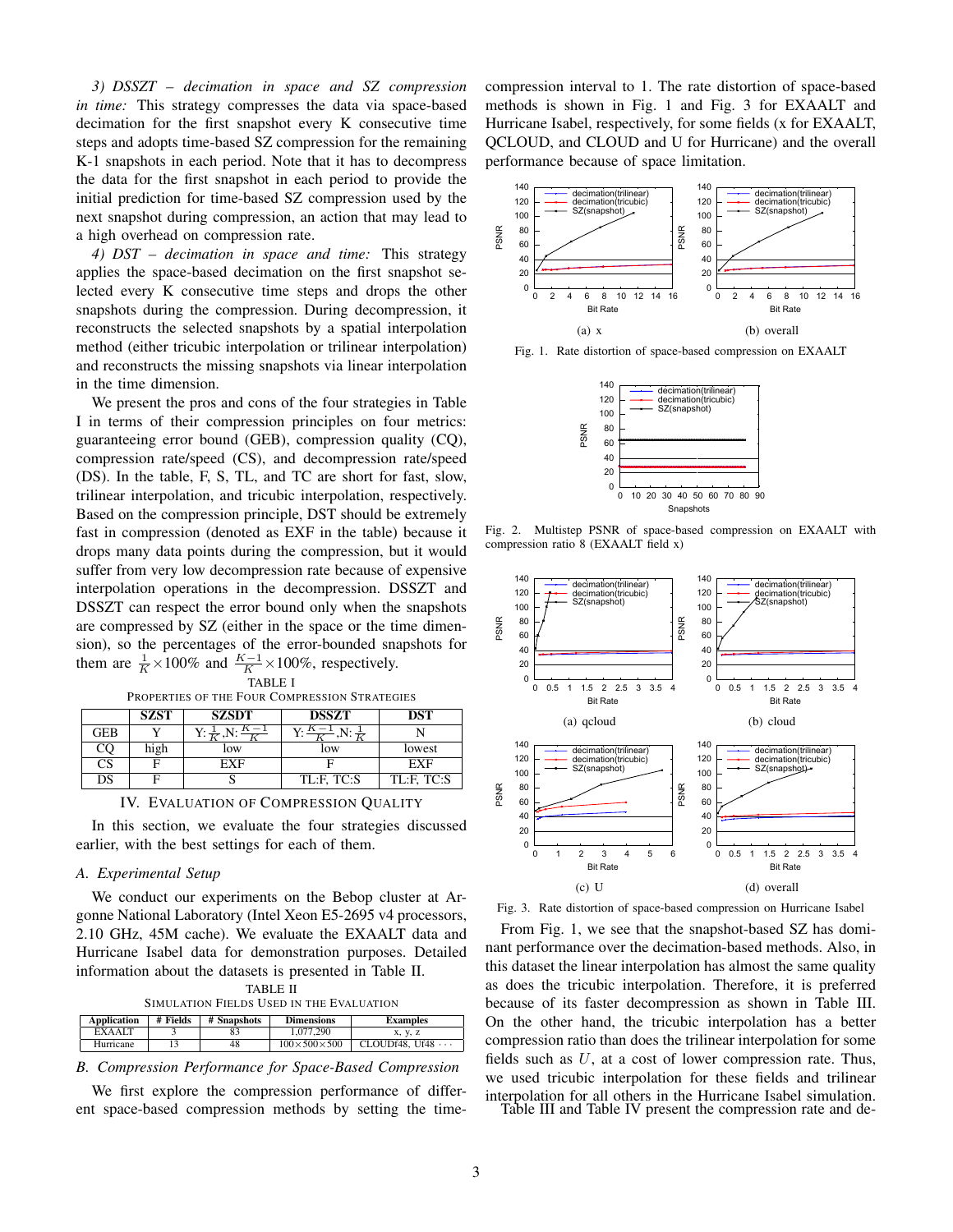*3) DSSZT – decimation in space and SZ compression in time:* This strategy compresses the data via space-based decimation for the first snapshot every K consecutive time steps and adopts time-based SZ compression for the remaining K-1 snapshots in each period. Note that it has to decompress the data for the first snapshot in each period to provide the initial prediction for time-based SZ compression used by the next snapshot during compression, an action that may lead to a high overhead on compression rate.

*4) DST – decimation in space and time:* This strategy applies the space-based decimation on the first snapshot selected every K consecutive time steps and drops the other snapshots during the compression. During decompression, it reconstructs the selected snapshots by a spatial interpolation method (either tricubic interpolation or trilinear interpolation) and reconstructs the missing snapshots via linear interpolation in the time dimension.

We present the pros and cons of the four strategies in Table I in terms of their compression principles on four metrics: guaranteeing error bound (GEB), compression quality (CQ), compression rate/speed (CS), and decompression rate/speed (DS). In the table, F, S, TL, and TC are short for fast, slow, trilinear interpolation, and tricubic interpolation, respectively. Based on the compression principle, DST should be extremely fast in compression (denoted as EXF in the table) because it drops many data points during the compression, but it would suffer from very low decompression rate because of expensive interpolation operations in the decompression. DSSZT and DSSZT can respect the error bound only when the snapshots are compressed by SZ (either in the space or the time dimension), so the percentages of the error-bounded snapshots for them are  $\frac{1}{K} \times 100\%$  and  $\frac{K-1}{K} \times 100\%$ , respectively.

| PROPERTIES OF THE FOUR COMPRESSION STRATEGIES |             |                              |            |            |  |
|-----------------------------------------------|-------------|------------------------------|------------|------------|--|
|                                               | <b>SZST</b> | <b>SZSDT</b><br><b>DSSZT</b> |            | DST        |  |
| GEB                                           |             |                              |            |            |  |
|                                               | high        | low                          | low        | lowest     |  |
| CS                                            | E           | FXF                          |            | FXF        |  |
|                                               |             |                              | TL F. TC S | TL:F. TC:S |  |

TABLE I



In this section, we evaluate the four strategies discussed earlier, with the best settings for each of them.

#### *A. Experimental Setup*

We conduct our experiments on the Bebop cluster at Argonne National Laboratory (Intel Xeon E5-2695 v4 processors, 2.10 GHz, 45M cache). We evaluate the EXAALT data and Hurricane Isabel data for demonstration purposes. Detailed information about the datasets is presented in Table II.

| <b>TABLE II</b>                          |  |  |  |
|------------------------------------------|--|--|--|
| SIMULATION FIELDS USED IN THE EVALUATION |  |  |  |

| Application   | # Fields | # Snapshots | <b>Dimensions</b>       | <b>Examples</b>         |
|---------------|----------|-------------|-------------------------|-------------------------|
| <b>EXAALT</b> |          |             | 1.077.290               | X, V, Z                 |
| Hurricane     |          | 48          | $100\times500\times500$ | CLOUDf48, Uf48 $\cdots$ |

## *B. Compression Performance for Space-Based Compression*

We first explore the compression performance of different space-based compression methods by setting the timecompression interval to 1. The rate distortion of space-based methods is shown in Fig. 1 and Fig. 3 for EXAALT and Hurricane Isabel, respectively, for some fields (x for EXAALT, QCLOUD, and CLOUD and U for Hurricane) and the overall performance because of space limitation.



Fig. 1. Rate distortion of space-based compression on EXAALT



Fig. 2. Multistep PSNR of space-based compression on EXAALT with compression ratio 8 (EXAALT field x)



Fig. 3. Rate distortion of space-based compression on Hurricane Isabel

From Fig. 1, we see that the snapshot-based SZ has dominant performance over the decimation-based methods. Also, in this dataset the linear interpolation has almost the same quality as does the tricubic interpolation. Therefore, it is preferred because of its faster decompression as shown in Table III. On the other hand, the tricubic interpolation has a better compression ratio than does the trilinear interpolation for some fields such as  $U$ , at a cost of lower compression rate. Thus, we used tricubic interpolation for these fields and trilinear interpolation for all others in the Hurricane Isabel simulation.

Table III and Table IV present the compression rate and de-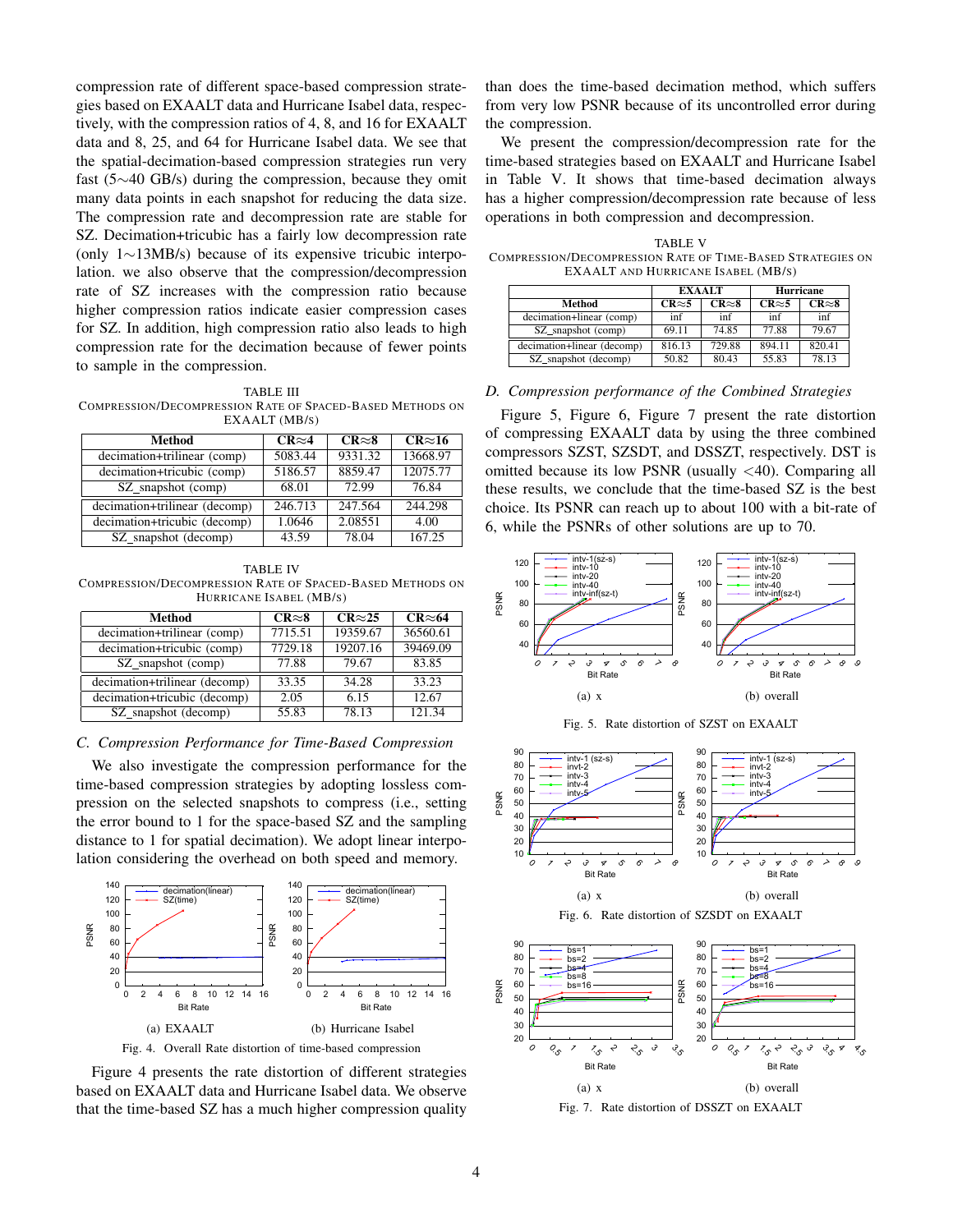compression rate of different space-based compression strategies based on EXAALT data and Hurricane Isabel data, respectively, with the compression ratios of 4, 8, and 16 for EXAALT data and 8, 25, and 64 for Hurricane Isabel data. We see that the spatial-decimation-based compression strategies run very fast (5∼40 GB/s) during the compression, because they omit many data points in each snapshot for reducing the data size. The compression rate and decompression rate are stable for SZ. Decimation+tricubic has a fairly low decompression rate (only 1∼13MB/s) because of its expensive tricubic interpolation. we also observe that the compression/decompression rate of SZ increases with the compression ratio because higher compression ratios indicate easier compression cases for SZ. In addition, high compression ratio also leads to high compression rate for the decimation because of fewer points to sample in the compression.

TABLE III COMPRESSION/DECOMPRESSION RATE OF SPACED-BASED METHODS ON EXAALT (MB/S)

| Method                        | $CR \approx 4$ | $CR \approx 8$ | $CR \approx 16$ |  |  |
|-------------------------------|----------------|----------------|-----------------|--|--|
| decimation+trilinear (comp)   | 5083.44        | 9331.32        | 13668.97        |  |  |
| decimation+tricubic (comp)    | 5186.57        | 8859.47        | 12075.77        |  |  |
| SZ_snapshot (comp)            | 68.01          | 72.99          | 76.84           |  |  |
| decimation+trilinear (decomp) | 246.713        | 247.564        | 244.298         |  |  |
| decimation+tricubic (decomp)  | 1.0646         | 2.08551        | 4.00            |  |  |
| SZ_snapshot (decomp)          | 43.59          | 78.04          | 167.25          |  |  |

TABLE IV COMPRESSION/DECOMPRESSION RATE OF SPACED-BASED METHODS ON HURRICANE ISABEL (MB/S)

| Method                        | $CR\approx 8$ | $CR \approx 25$ | $CR \approx 64$ |
|-------------------------------|---------------|-----------------|-----------------|
|                               |               |                 |                 |
| decimation+trilinear (comp)   | 7715.51       | 19359.67        | 36560.61        |
| decimation+tricubic (comp)    | 7729.18       | 19207.16        | 39469.09        |
| SZ_snapshot (comp)            | 77.88         | 79.67           | 83.85           |
| decimation+trilinear (decomp) | 33.35         | 34.28           | 33.23           |
| decimation+tricubic (decomp)  | 2.05          | 6.15            | 12.67           |
|                               |               |                 |                 |
| SZ_snapshot (decomp)          | 55.83         | 78.13           | 121.34          |

## *C. Compression Performance for Time-Based Compression*

We also investigate the compression performance for the time-based compression strategies by adopting lossless compression on the selected snapshots to compress (i.e., setting the error bound to 1 for the space-based SZ and the sampling distance to 1 for spatial decimation). We adopt linear interpolation considering the overhead on both speed and memory.



Figure 4 presents the rate distortion of different strategies based on EXAALT data and Hurricane Isabel data. We observe that the time-based SZ has a much higher compression quality than does the time-based decimation method, which suffers from very low PSNR because of its uncontrolled error during the compression.

We present the compression/decompression rate for the time-based strategies based on EXAALT and Hurricane Isabel in Table V. It shows that time-based decimation always has a higher compression/decompression rate because of less operations in both compression and decompression.

TABLE V COMPRESSION/DECOMPRESSION RATE OF TIME-BASED STRATEGIES ON EXAALT AND HURRICANE ISABEL (MB/S)

|                            | <b>EXAALT</b>  |                | <b>Hurricane</b> |                |
|----------------------------|----------------|----------------|------------------|----------------|
| Method                     | $CR \approx 5$ | $CR \approx 8$ | $CR \approx 5$   | $CR \approx 8$ |
| decimation+linear (comp)   | inf            | inf            | inf              | inf            |
| SZ snapshot (comp)         | 69.11          | 74.85          | 77.88            | 79.67          |
| decimation+linear (decomp) | 816.13         | 729.88         | 894.11           | 820.41         |
| SZ_snapshot (decomp)       | 50.82          | 80.43          | 55.83            | 78.13          |

## *D. Compression performance of the Combined Strategies*

Figure 5, Figure 6, Figure 7 present the rate distortion of compressing EXAALT data by using the three combined compressors SZST, SZSDT, and DSSZT, respectively. DST is omitted because its low PSNR (usually <40). Comparing all these results, we conclude that the time-based SZ is the best choice. Its PSNR can reach up to about 100 with a bit-rate of 6, while the PSNRs of other solutions are up to 70.











Fig. 7. Rate distortion of DSSZT on EXAALT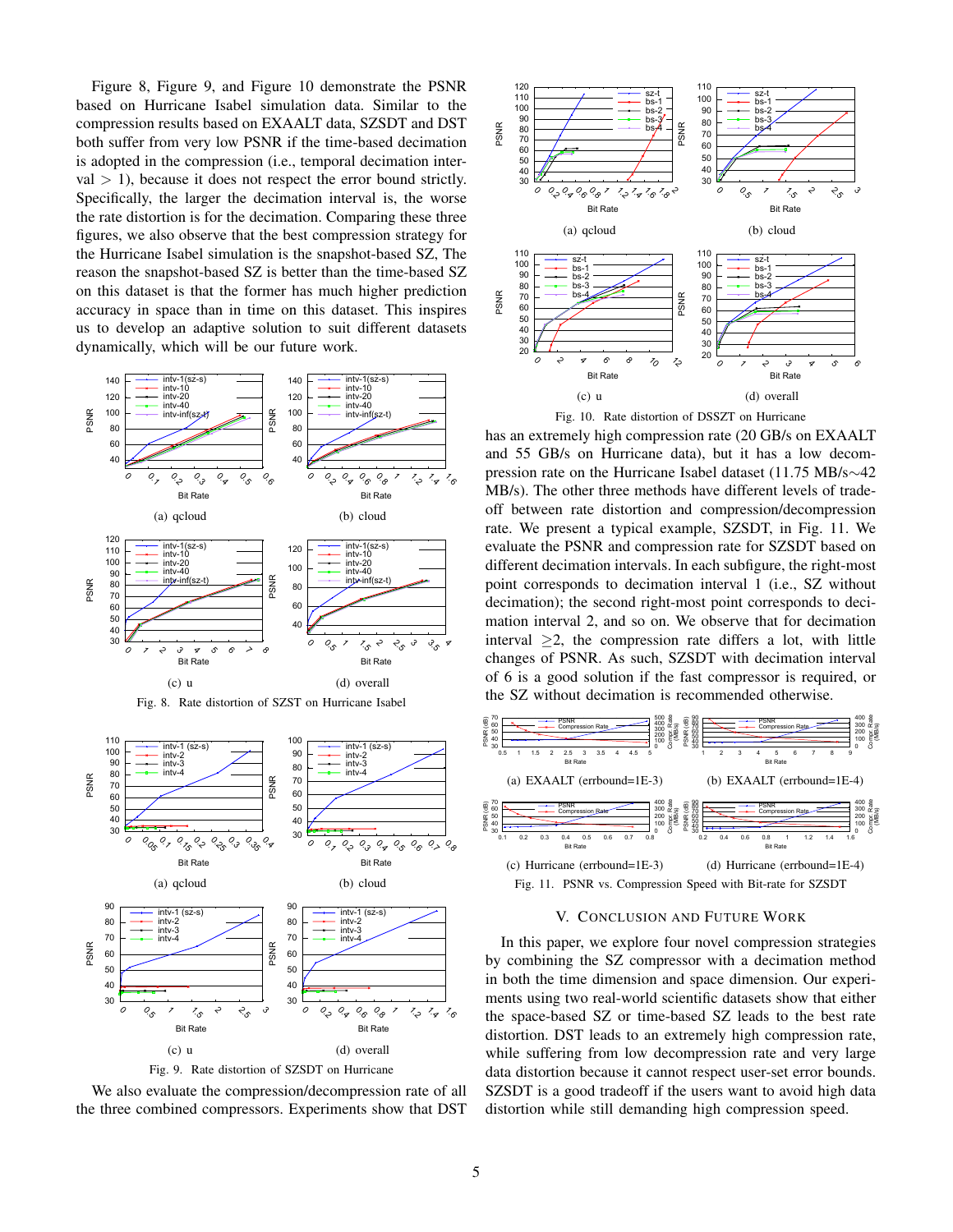Figure 8, Figure 9, and Figure 10 demonstrate the PSNR based on Hurricane Isabel simulation data. Similar to the compression results based on EXAALT data, SZSDT and DST both suffer from very low PSNR if the time-based decimation is adopted in the compression (i.e., temporal decimation inter $val$  > 1), because it does not respect the error bound strictly. Specifically, the larger the decimation interval is, the worse the rate distortion is for the decimation. Comparing these three figures, we also observe that the best compression strategy for the Hurricane Isabel simulation is the snapshot-based SZ, The reason the snapshot-based SZ is better than the time-based SZ on this dataset is that the former has much higher prediction accuracy in space than in time on this dataset. This inspires us to develop an adaptive solution to suit different datasets dynamically, which will be our future work.









We also evaluate the compression/decompression rate of all the three combined compressors. Experiments show that DST



has an extremely high compression rate (20 GB/s on EXAALT and 55 GB/s on Hurricane data), but it has a low decompression rate on the Hurricane Isabel dataset (11.75 MB/s∼42 MB/s). The other three methods have different levels of tradeoff between rate distortion and compression/decompression rate. We present a typical example, SZSDT, in Fig. 11. We evaluate the PSNR and compression rate for SZSDT based on different decimation intervals. In each subfigure, the right-most point corresponds to decimation interval 1 (i.e., SZ without decimation); the second right-most point corresponds to decimation interval 2, and so on. We observe that for decimation interval  $\geq$ 2, the compression rate differs a lot, with little changes of PSNR. As such, SZSDT with decimation interval of 6 is a good solution if the fast compressor is required, or the SZ without decimation is recommended otherwise.



Fig. 11. PSNR vs. Compression Speed with Bit-rate for SZSDT

#### V. CONCLUSION AND FUTURE WORK

In this paper, we explore four novel compression strategies by combining the SZ compressor with a decimation method in both the time dimension and space dimension. Our experiments using two real-world scientific datasets show that either the space-based SZ or time-based SZ leads to the best rate distortion. DST leads to an extremely high compression rate, while suffering from low decompression rate and very large data distortion because it cannot respect user-set error bounds. SZSDT is a good tradeoff if the users want to avoid high data distortion while still demanding high compression speed.